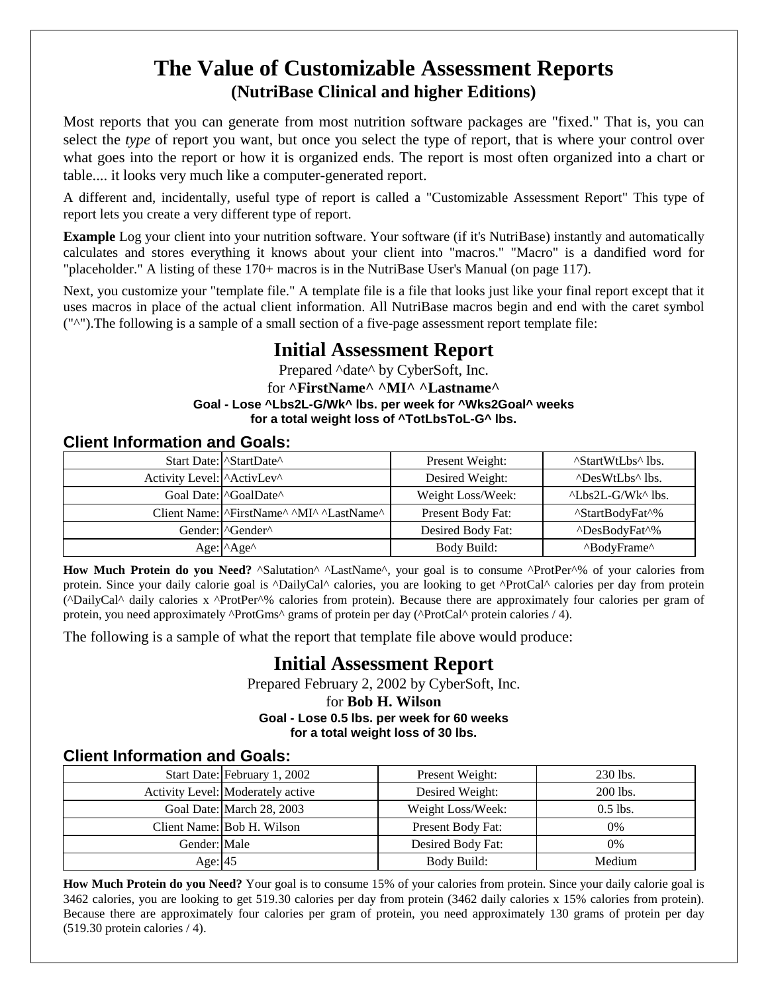# **The Value of Customizable Assessment Reports (NutriBase Clinical and higher Editions)**

Most reports that you can generate from most nutrition software packages are "fixed." That is, you can select the *type* of report you want, but once you select the type of report, that is where your control over what goes into the report or how it is organized ends. The report is most often organized into a chart or table.... it looks very much like a computer-generated report.

A different and, incidentally, useful type of report is called a "Customizable Assessment Report" This type of report lets you create a very different type of report.

**Example** Log your client into your nutrition software. Your software (if it's NutriBase) instantly and automatically calculates and stores everything it knows about your client into "macros." "Macro" is a dandified word for "placeholder." A listing of these 170+ macros is in the NutriBase User's Manual (on page 117).

Next, you customize your "template file." A template file is a file that looks just like your final report except that it uses macros in place of the actual client information. All NutriBase macros begin and end with the caret symbol ("^").The following is a sample of a small section of a five-page assessment report template file:

## **Initial Assessment Report**

Prepared ^date^ by CyberSoft, Inc. for **^FirstName^ ^MI^ ^Lastname^ Goal - Lose ^Lbs2L-G/Wk^ lbs. per week for ^Wks2Goal^ weeks for a total weight loss of ^TotLbsToL-G^ lbs.**

## **Client Information and Goals:**

|                           | Start Date: StartDate^                                                                     | Present Weight:   | "StartWtLbs" lbs.                       |
|---------------------------|--------------------------------------------------------------------------------------------|-------------------|-----------------------------------------|
| Activity Level: ActivLev^ |                                                                                            | Desired Weight:   | "DesWtLbs" lbs.                         |
|                           | Goal Date:   ^GoalDate^                                                                    | Weight Loss/Week: | $^{\wedge}$ Lbs2L-G/Wk $^{\wedge}$ lbs. |
|                           | Client Name: <sup>  ^</sup> FirstName <sup>^</sup> ^MI <sup>^</sup> ^LastName <sup>^</sup> | Present Body Fat: | <sup>^</sup> StartBodyFat <sup>^%</sup> |
|                           | Gender: l^Gender^                                                                          | Desired Body Fat: | <sup>^</sup> DesBodyFat <sup>^%</sup>   |
|                           | Age: $\triangle$ Age $\triangle$                                                           | Body Build:       | "BodyFrame"                             |

How Much Protein do you Need? ^Salutation^ ^LastName^, your goal is to consume ^ProtPer^% of your calories from protein. Since your daily calorie goal is ^DailyCal^ calories, you are looking to get ^ProtCal^ calories per day from protein (^DailyCal^ daily calories x ^ProtPer^% calories from protein). Because there are approximately four calories per gram of protein, you need approximately  $\text{{}ProtGms}^{\wedge}$  grams of protein per day ( $\text{{}ProtCal}^{\wedge}$  protein calories / 4).

The following is a sample of what the report that template file above would produce:

## **Initial Assessment Report**

Prepared February 2, 2002 by CyberSoft, Inc.

#### for **Bob H. Wilson Goal - Lose 0.5 lbs. per week for 60 weeks for a total weight loss of 30 lbs.**

## **Client Information and Goals:**

|              | Start Date: February 1, 2002      | Present Weight:   | 230 lbs.   |
|--------------|-----------------------------------|-------------------|------------|
|              | Activity Level: Moderately active | Desired Weight:   | 200 lbs.   |
|              | Goal Date: March 28, 2003         | Weight Loss/Week: | $0.5$ lbs. |
|              | Client Name: Bob H. Wilson        | Present Body Fat: | $0\%$      |
| Gender: Male |                                   | Desired Body Fat: | $0\%$      |
| Age: $ 45 $  |                                   | Body Build:       | Medium     |

**How Much Protein do you Need?** Your goal is to consume 15% of your calories from protein. Since your daily calorie goal is 3462 calories, you are looking to get 519.30 calories per day from protein (3462 daily calories x 15% calories from protein). Because there are approximately four calories per gram of protein, you need approximately 130 grams of protein per day (519.30 protein calories / 4).